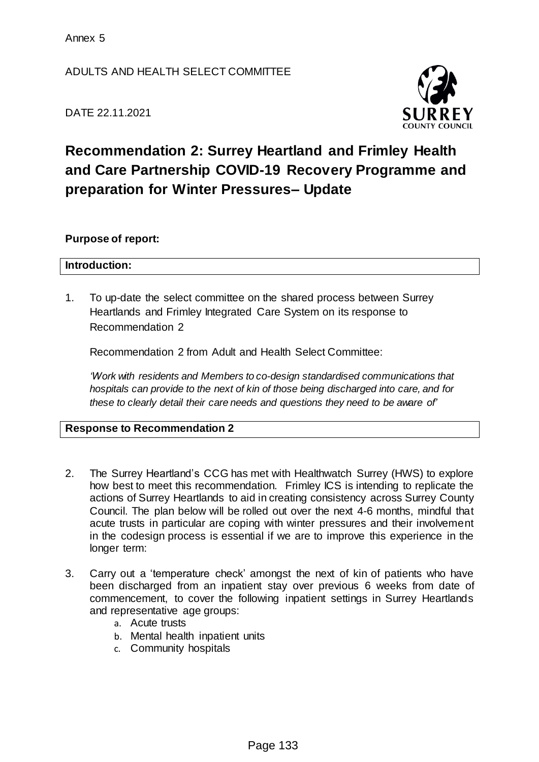ADULTS AND HEALTH SELECT COMMITTEE

DATE 22.11.2021



## **Recommendation 2: Surrey Heartland and Frimley Health and Care Partnership COVID-19 Recovery Programme and preparation for Winter Pressures– Update**

## **Purpose of report:**

## **Introduction:**

1. To up-date the select committee on the shared process between Surrey Heartlands and Frimley Integrated Care System on its response to Recommendation 2

Recommendation 2 from Adult and Health Select Committee:

*'Work with residents and Members to co-design standardised communications that hospitals can provide to the next of kin of those being discharged into care, and for these to clearly detail their care needs and questions they need to be aware of'*

**Response to Recommendation 2**

- 2. The Surrey Heartland's CCG has met with Healthwatch Surrey (HWS) to explore how best to meet this recommendation. Frimley ICS is intending to replicate the actions of Surrey Heartlands to aid in creating consistency across Surrey County Council. The plan below will be rolled out over the next 4-6 months, mindful that acute trusts in particular are coping with winter pressures and their involvement in the codesign process is essential if we are to improve this experience in the longer term:
- 3. Carry out a 'temperature check' amongst the next of kin of patients who have been discharged from an inpatient stay over previous 6 weeks from date of commencement, to cover the following inpatient settings in Surrey Heartlands and representative age groups:
	- a. Acute trusts
	- b. Mental health inpatient units
	- c. Community hospitals